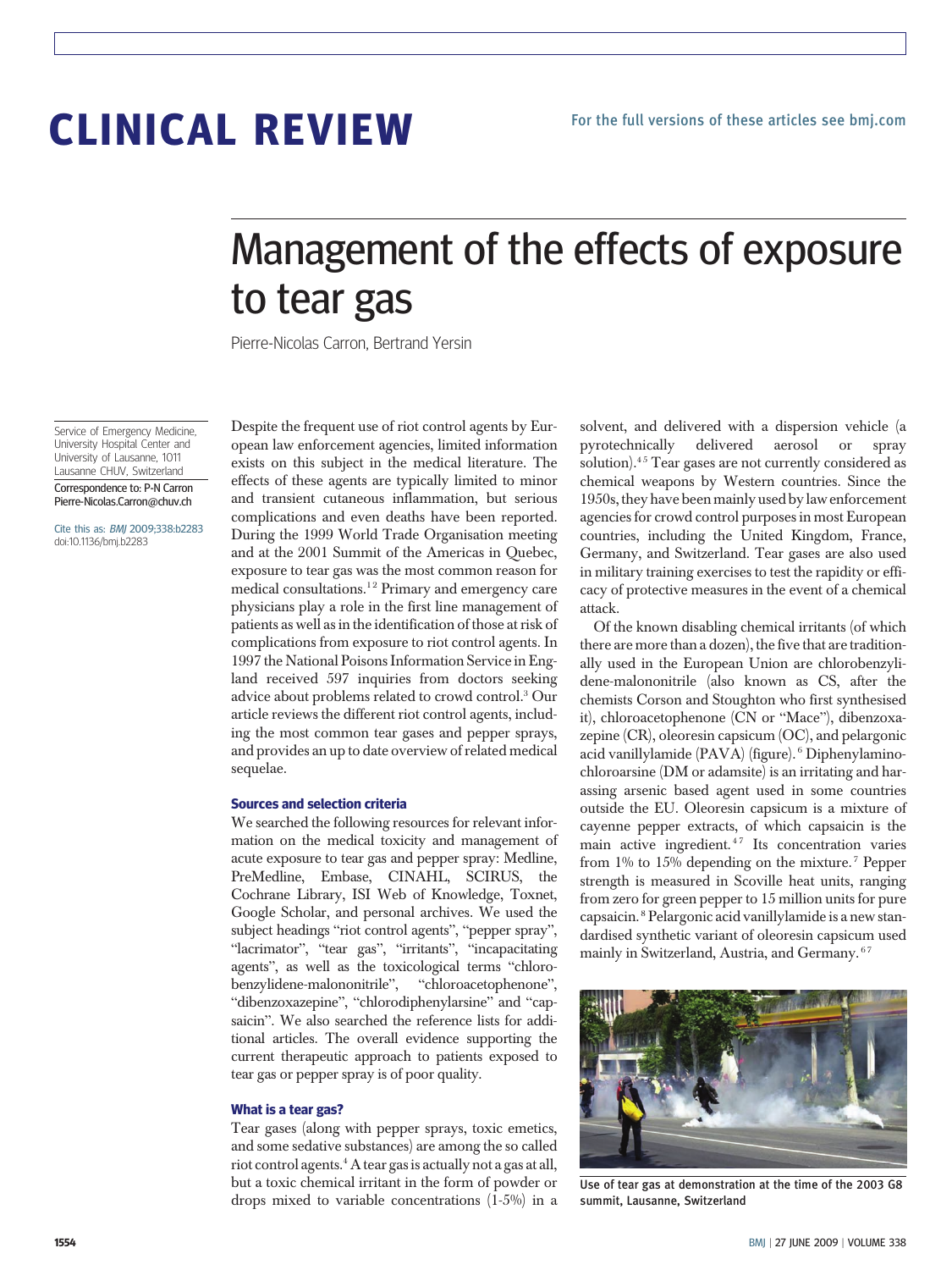# CLINICAL REVIEW

## Management of the effects of exposure to tear gas

Pierre-Nicolas Carron, Bertrand Yersin

Service of Emergency Medicine, University Hospital Center and University of Lausanne, 1011 Lausanne CHUV, Switzerland Correspondence to: P-N Carron Pierre-Nicolas.Carron@chuv.ch

Cite this as: BMJ 2009;338:b2283 doi:10.1136/bmj.b2283

Despite the frequent use of riot control agents by European law enforcement agencies, limited information exists on this subject in the medical literature. The effects of these agents are typically limited to minor and transient cutaneous inflammation, but serious complications and even deaths have been reported. During the 1999 World Trade Organisation meeting and at the 2001 Summit of the Americas in Quebec, exposure to tear gas was the most common reason for medical consultations.<sup>12</sup> Primary and emergency care physicians play a role in the first line management of patients as well as in the identification of those at risk of complications from exposure to riot control agents. In 1997 the National Poisons Information Service in England received 597 inquiries from doctors seeking advice about problems related to crowd control.3 Our article reviews the different riot control agents, including the most common tear gases and pepper sprays, and provides an up to date overview of related medical sequelae.

#### Sources and selection criteria

We searched the following resources for relevant information on the medical toxicity and management of acute exposure to tear gas and pepper spray: Medline, PreMedline, Embase, CINAHL, SCIRUS, the Cochrane Library, ISI Web of Knowledge, Toxnet, Google Scholar, and personal archives. We used the subject headings "riot control agents", "pepper spray", "lacrimator", "tear gas", "irritants", "incapacitating agents", as well as the toxicological terms "chlorobenzylidene-malononitrile", "chloroacetophenone", "dibenzoxazepine", "chlorodiphenylarsine" and "capsaicin". We also searched the reference lists for additional articles. The overall evidence supporting the current therapeutic approach to patients exposed to tear gas or pepper spray is of poor quality.

#### What is a tear gas?

Tear gases (along with pepper sprays, toxic emetics, and some sedative substances) are among the so called riot control agents.<sup>4</sup> A tear gas is actually not a gas at all, but a toxic chemical irritant in the form of powder or drops mixed to variable concentrations (1-5%) in a solvent, and delivered with a dispersion vehicle (a pyrotechnically delivered aerosol or spray solution).<sup>45</sup> Tear gases are not currently considered as chemical weapons by Western countries. Since the 1950s, they have been mainly used by law enforcement agencies for crowd control purposes in most European countries, including the United Kingdom, France, Germany, and Switzerland. Tear gases are also used in military training exercises to test the rapidity or efficacy of protective measures in the event of a chemical attack.

Of the known disabling chemical irritants (of which there are more than a dozen), the five that are traditionally used in the European Union are chlorobenzylidene-malononitrile (also known as CS, after the chemists Corson and Stoughton who first synthesised it), chloroacetophenone (CN or "Mace"), dibenzoxazepine (CR), oleoresin capsicum (OC), and pelargonic acid vanillylamide (PAVA) (figure). <sup>6</sup> Diphenylaminochloroarsine (DM or adamsite) is an irritating and harassing arsenic based agent used in some countries outside the EU. Oleoresin capsicum is a mixture of cayenne pepper extracts, of which capsaicin is the main active ingredient. $47$  Its concentration varies from 1% to 15% depending on the mixture. <sup>7</sup> Pepper strength is measured in Scoville heat units, ranging from zero for green pepper to 15 million units for pure capsaicin. <sup>8</sup> Pelargonic acid vanillylamide is a new standardised synthetic variant of oleoresin capsicum used mainly in Switzerland, Austria, and Germany.<sup>67</sup>



Use of tear gas at demonstration at the time of the 2003 G8 summit, Lausanne, Switzerland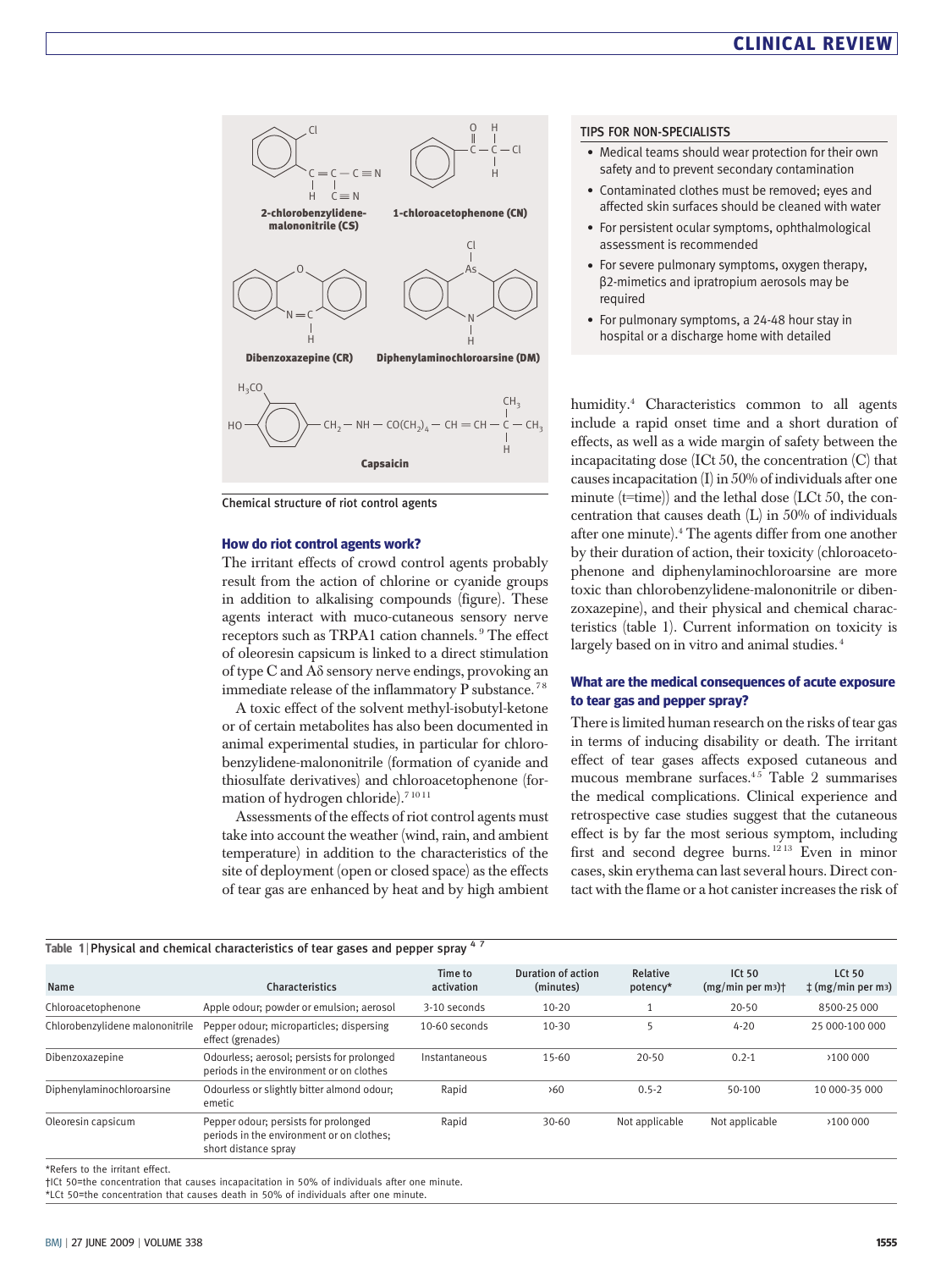

Chemical structure of riot control agents

#### How do riot control agents work?

The irritant effects of crowd control agents probably result from the action of chlorine or cyanide groups in addition to alkalising compounds (figure). These agents interact with muco-cutaneous sensory nerve receptors such as TRPA1 cation channels. <sup>9</sup> The effect of oleoresin capsicum is linked to a direct stimulation of type C and Aδ sensory nerve endings, provoking an immediate release of the inflammatory P substance.<sup>78</sup>

A toxic effect of the solvent methyl-isobutyl-ketone or of certain metabolites has also been documented in animal experimental studies, in particular for chlorobenzylidene-malononitrile (formation of cyanide and thiosulfate derivatives) and chloroacetophenone (formation of hydrogen chloride).<sup>71011</sup>

Assessments of the effects of riot control agents must take into account the weather (wind, rain, and ambient temperature) in addition to the characteristics of the site of deployment (open or closed space) as the effects of tear gas are enhanced by heat and by high ambient

#### TIPS FOR NON-SPECIALISTS

- Medical teams should wear protection for their own safety and to prevent secondary contamination
- Contaminated clothes must be removed; eyes and affected skin surfaces should be cleaned with water
- For persistent ocular symptoms, ophthalmological assessment is recommended
- For severe pulmonary symptoms, oxygen therapy, β2-mimetics and ipratropium aerosols may be required
- For pulmonary symptoms, a 24-48 hour stay in hospital or a discharge home with detailed

humidity.4 Characteristics common to all agents include a rapid onset time and a short duration of effects, as well as a wide margin of safety between the incapacitating dose (ICt 50, the concentration  $(C)$  that causes incapacitation (I) in 50% of individuals after one minute  $(t=time)$  and the lethal dose (LCt 50, the concentration that causes death (L) in 50% of individuals after one minute).4 The agents differ from one another by their duration of action, their toxicity (chloroacetophenone and diphenylaminochloroarsine are more toxic than chlorobenzylidene-malononitrile or dibenzoxazepine), and their physical and chemical characteristics (table 1). Current information on toxicity is largely based on in vitro and animal studies. <sup>4</sup>

#### What are the medical consequences of acute exposure to tear gas and pepper spray?

There is limited human research on the risks of tear gas in terms of inducing disability or death. The irritant effect of tear gases affects exposed cutaneous and mucous membrane surfaces. $45$  Table 2 summarises the medical complications. Clinical experience and retrospective case studies suggest that the cutaneous effect is by far the most serious symptom, including first and second degree burns.<sup>1213</sup> Even in minor cases, skin erythema can last several hours. Direct contact with the flame or a hot canister increases the risk of

|                                 | Table 1  Physical and chemical characteristics of tear gases and pepper spray 47                          |                       |                                 |                      |                                      |                                                     |
|---------------------------------|-----------------------------------------------------------------------------------------------------------|-----------------------|---------------------------------|----------------------|--------------------------------------|-----------------------------------------------------|
| Name                            | Characteristics                                                                                           | Time to<br>activation | Duration of action<br>(minutes) | Relative<br>potency* | <b>ICt 50</b><br>$(mg/min per m3)$ + | <b>LCt 50</b><br>$\pm$ (mg/min per m <sub>3</sub> ) |
| Chloroacetophenone              | Apple odour; powder or emulsion; aerosol                                                                  | 3-10 seconds          | $10 - 20$                       |                      | $20 - 50$                            | 8500-25 000                                         |
| Chlorobenzylidene malononitrile | Pepper odour; microparticles; dispersing<br>effect (grenades)                                             | 10-60 seconds         | 10-30                           |                      | $4 - 20$                             | 25 000-100 000                                      |
| Dibenzoxazepine                 | Odourless; aerosol; persists for prolonged<br>periods in the environment or on clothes                    | Instantaneous         | 15-60                           | $20 - 50$            | $0.2 - 1$                            | >100 000                                            |
| Diphenylaminochloroarsine       | Odourless or slightly bitter almond odour;<br>emetic                                                      | Rapid                 | 560                             | $0.5 - 2$            | 50-100                               | 10 000-35 000                                       |
| Oleoresin capsicum              | Pepper odour; persists for prolonged<br>periods in the environment or on clothes;<br>short distance spray | Rapid                 | $30 - 60$                       | Not applicable       | Not applicable                       | >100 000                                            |

\*Refers to the irritant effect.

†ICt 50=the concentration that causes incapacitation in 50% of individuals after one minute.

\*LCt 50=the concentration that causes death in 50% of individuals after one minute.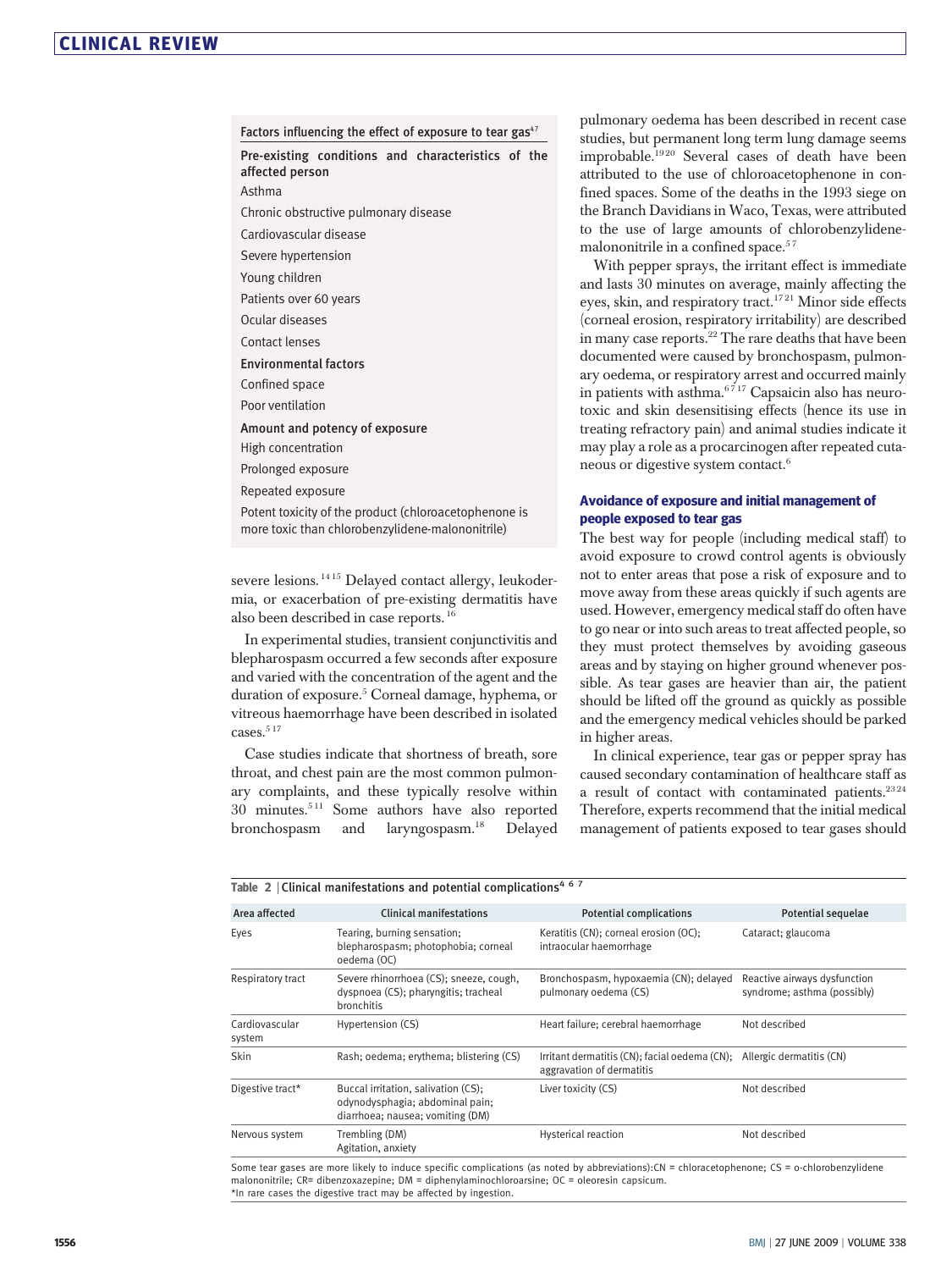### CLINICAL REVIEW

| Pre-existing conditions and characteristics of the<br>affected person                                     |  |  |  |  |  |
|-----------------------------------------------------------------------------------------------------------|--|--|--|--|--|
| Asthma                                                                                                    |  |  |  |  |  |
| Chronic obstructive pulmonary disease                                                                     |  |  |  |  |  |
| Cardiovascular disease                                                                                    |  |  |  |  |  |
| Severe hypertension                                                                                       |  |  |  |  |  |
| Young children                                                                                            |  |  |  |  |  |
| Patients over 60 years                                                                                    |  |  |  |  |  |
| Ocular diseases                                                                                           |  |  |  |  |  |
| Contact lenses                                                                                            |  |  |  |  |  |
| <b>Environmental factors</b>                                                                              |  |  |  |  |  |
| Confined space                                                                                            |  |  |  |  |  |
| Poor ventilation                                                                                          |  |  |  |  |  |
| Amount and potency of exposure                                                                            |  |  |  |  |  |
| High concentration                                                                                        |  |  |  |  |  |
| Prolonged exposure                                                                                        |  |  |  |  |  |
| Repeated exposure                                                                                         |  |  |  |  |  |
| Potent toxicity of the product (chloroacetophenone is<br>more toxic than chlorobenzylidene-malononitrile) |  |  |  |  |  |

Factors influencing the effect of exposure to tear  $g_{\text{as}}$ 

severe lesions. 14 15 Delayed contact allergy, leukodermia, or exacerbation of pre-existing dermatitis have also been described in case reports. <sup>16</sup>

In experimental studies, transient conjunctivitis and blepharospasm occurred a few seconds after exposure and varied with the concentration of the agent and the duration of exposure.<sup>5</sup> Corneal damage, hyphema, or vitreous haemorrhage have been described in isolated  $cases.517$ 

Case studies indicate that shortness of breath, sore throat, and chest pain are the most common pulmonary complaints, and these typically resolve within 30 minutes.5 11 Some authors have also reported bronchospasm and laryngospasm.18 Delayed pulmonary oedema has been described in recent case studies, but permanent long term lung damage seems improbable.<sup>1920</sup> Several cases of death have been attributed to the use of chloroacetophenone in confined spaces. Some of the deaths in the 1993 siege on the Branch Davidians in Waco, Texas, were attributed to the use of large amounts of chlorobenzylidenemalononitrile in a confined space.<sup>57</sup>

With pepper sprays, the irritant effect is immediate and lasts 30 minutes on average, mainly affecting the eyes, skin, and respiratory tract.<sup>1721</sup> Minor side effects (corneal erosion, respiratory irritability) are described in many case reports. $22$  The rare deaths that have been documented were caused by bronchospasm, pulmonary oedema, or respiratory arrest and occurred mainly in patients with asthma. $6717$  Capsaicin also has neurotoxic and skin desensitising effects (hence its use in treating refractory pain) and animal studies indicate it may play a role as a procarcinogen after repeated cutaneous or digestive system contact.6

#### Avoidance of exposure and initial management of people exposed to tear gas

The best way for people (including medical staff) to avoid exposure to crowd control agents is obviously not to enter areas that pose a risk of exposure and to move away from these areas quickly if such agents are used. However, emergency medical staff do often have to go near or into such areas to treat affected people, so they must protect themselves by avoiding gaseous areas and by staying on higher ground whenever possible. As tear gases are heavier than air, the patient should be lifted off the ground as quickly as possible and the emergency medical vehicles should be parked in higher areas.

In clinical experience, tear gas or pepper spray has caused secondary contamination of healthcare staff as a result of contact with contaminated patients.<sup>2324</sup> Therefore, experts recommend that the initial medical management of patients exposed to tear gases should

|                          | Table 2   Clinical manifestations and potential complications <sup>467</sup>                               |                                                                                                     |                                                             |  |
|--------------------------|------------------------------------------------------------------------------------------------------------|-----------------------------------------------------------------------------------------------------|-------------------------------------------------------------|--|
| Area affected            | <b>Clinical manifestations</b>                                                                             | <b>Potential complications</b>                                                                      | <b>Potential sequelae</b>                                   |  |
| Eyes                     | Tearing, burning sensation;<br>blepharospasm; photophobia; corneal<br>oedema (OC)                          | Keratitis (CN); corneal erosion (OC);<br>intraocular haemorrhage                                    | Cataract; glaucoma                                          |  |
| Respiratory tract        | Severe rhinorrhoea (CS); sneeze, cough,<br>dyspnoea (CS); pharyngitis; tracheal<br>bronchitis              | Bronchospasm, hypoxaemia (CN); delayed<br>pulmonary oedema (CS)                                     | Reactive airways dysfunction<br>syndrome; asthma (possibly) |  |
| Cardiovascular<br>system | Hypertension (CS)                                                                                          | Heart failure; cerebral haemorrhage                                                                 | Not described                                               |  |
| Skin                     | Rash; oedema; erythema; blistering (CS)                                                                    | Irritant dermatitis (CN); facial oedema (CN); Allergic dermatitis (CN)<br>aggravation of dermatitis |                                                             |  |
| Digestive tract*         | Buccal irritation, salivation (CS);<br>odynodysphagia; abdominal pain;<br>diarrhoea; nausea; vomiting (DM) | Liver toxicity (CS)                                                                                 | Not described                                               |  |
| Nervous system           | Trembling (DM)<br>Agitation, anxiety                                                                       | <b>Hysterical reaction</b>                                                                          | Not described                                               |  |

Some tear gases are more likely to induce specific complications (as noted by abbreviations):CN = chloracetophenone; CS = o-chlorobenzylidene<br>malononitrile; CR= dibenzoxazepine; DM = diphenylaminochloroarsine; OC = oleores \*In rare cases the digestive tract may be affected by ingestion.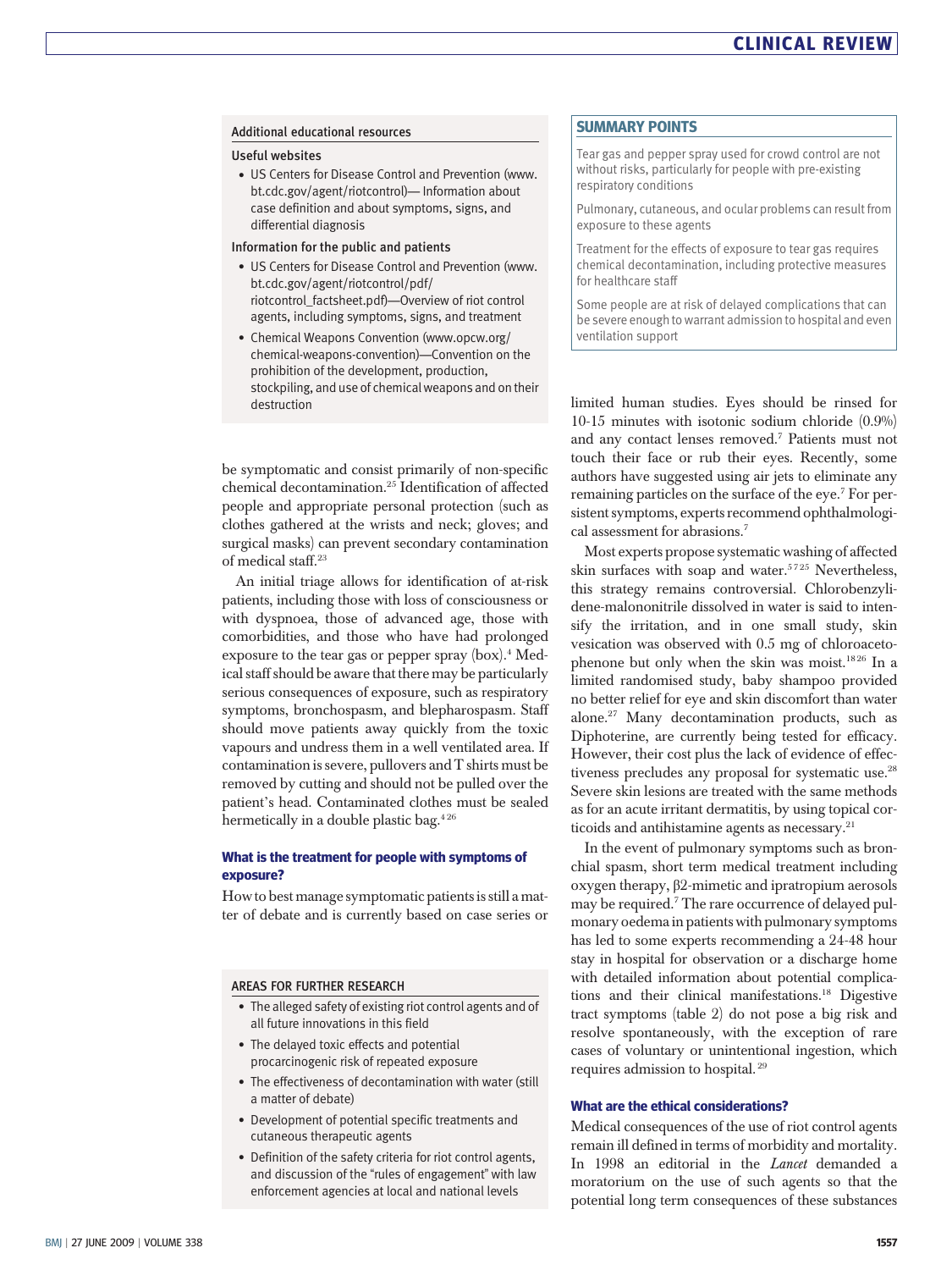#### Additional educational resources

#### Useful websites

 US Centers for Disease Control and Prevention (www. bt.cdc.gov/agent/riotcontrol)— Information about case definition and about symptoms, signs, and differential diagnosis

#### Information for the public and patients

- US Centers for Disease Control and Prevention (www. bt.cdc.gov/agent/riotcontrol/pdf/ riotcontrol\_factsheet.pdf)—Overview of riot control agents, including symptoms, signs, and treatment
- Chemical Weapons Convention (www.opcw.org/ chemical-weapons-convention)—Convention on the prohibition of the development, production, stockpiling, and use of chemical weapons and on their destruction

be symptomatic and consist primarily of non-specific chemical decontamination.<sup>25</sup> Identification of affected people and appropriate personal protection (such as clothes gathered at the wrists and neck; gloves; and surgical masks) can prevent secondary contamination of medical staff.<sup>23</sup>

An initial triage allows for identification of at-risk patients, including those with loss of consciousness or with dyspnoea, those of advanced age, those with comorbidities, and those who have had prolonged exposure to the tear gas or pepper spray  $(box)^4$  Medical staff should be aware that there may be particularly serious consequences of exposure, such as respiratory symptoms, bronchospasm, and blepharospasm. Staff should move patients away quickly from the toxic vapours and undress them in a well ventilated area. If contamination is severe, pullovers and T shirts must be removed by cutting and should not be pulled over the patient's head. Contaminated clothes must be sealed hermetically in a double plastic bag.<sup>426</sup>

#### What is the treatment for people with symptoms of exposure?

How to best manage symptomatic patients is still a matter of debate and is currently based on case series or

#### AREAS FOR FURTHER RESEARCH

- The alleged safety of existing riot control agents and of all future innovations in this field
- The delayed toxic effects and potential procarcinogenic risk of repeated exposure
- The effectiveness of decontamination with water (still a matter of debate)
- Development of potential specific treatments and cutaneous therapeutic agents
- Definition of the safety criteria for riot control agents, and discussion of the "rules of engagement" with law enforcement agencies at local and national levels

#### SUMMARY POINTS

Tear gas and pepper spray used for crowd control are not without risks, particularly for people with pre-existing respiratory conditions

Pulmonary, cutaneous, and ocular problems can result from exposure to these agents

Treatment for the effects of exposure to tear gas requires chemical decontamination, including protective measures for healthcare staff

Some people are at risk of delayed complications that can be severe enough to warrant admission to hospital and even ventilation support

limited human studies. Eyes should be rinsed for 10-15 minutes with isotonic sodium chloride (0.9%) and any contact lenses removed.7 Patients must not touch their face or rub their eyes. Recently, some authors have suggested using air jets to eliminate any remaining particles on the surface of the eye.7 For persistent symptoms, experts recommend ophthalmological assessment for abrasions.7

Most experts propose systematic washing of affected skin surfaces with soap and water.<sup>5725</sup> Nevertheless, this strategy remains controversial. Chlorobenzylidene-malononitrile dissolved in water is said to intensify the irritation, and in one small study, skin vesication was observed with 0.5 mg of chloroacetophenone but only when the skin was moist.<sup>1826</sup> In a limited randomised study, baby shampoo provided no better relief for eye and skin discomfort than water alone.27 Many decontamination products, such as Diphoterine, are currently being tested for efficacy. However, their cost plus the lack of evidence of effectiveness precludes any proposal for systematic use.<sup>28</sup> Severe skin lesions are treated with the same methods as for an acute irritant dermatitis, by using topical corticoids and antihistamine agents as necessary.<sup>21</sup>

In the event of pulmonary symptoms such as bronchial spasm, short term medical treatment including oxygen therapy, β2-mimetic and ipratropium aerosols may be required.7 The rare occurrence of delayed pulmonary oedema in patients with pulmonary symptoms has led to some experts recommending a 24-48 hour stay in hospital for observation or a discharge home with detailed information about potential complications and their clinical manifestations.<sup>18</sup> Digestive tract symptoms (table 2) do not pose a big risk and resolve spontaneously, with the exception of rare cases of voluntary or unintentional ingestion, which requires admission to hospital. <sup>29</sup>

#### What are the ethical considerations?

Medical consequences of the use of riot control agents remain ill defined in terms of morbidity and mortality. In 1998 an editorial in the *Lancet* demanded a moratorium on the use of such agents so that the potential long term consequences of these substances